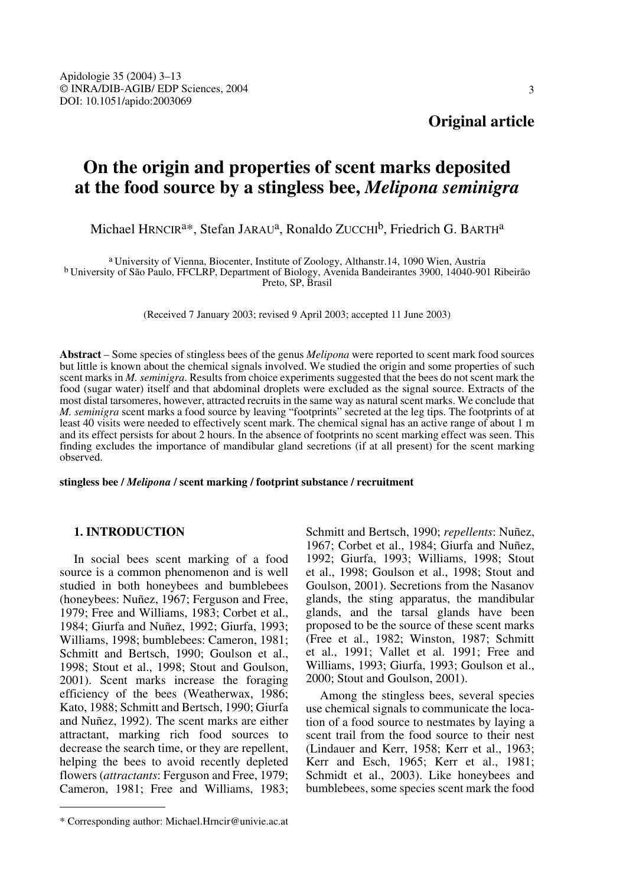# **On the origin and properties of scent marks deposited at the food source by a stingless bee,** *Melipona seminigra*

Michael HRNCIR<sup>a\*</sup>, Stefan JARAU<sup>a</sup>, Ronaldo ZUCCHI<sup>b</sup>, Friedrich G. BARTH<sup>a</sup>

<sup>a</sup> University of Vienna, Biocenter, Institute of Zoology, Althanstr.14, 1090 Wien, Austria <sup>b</sup> University of São Paulo, FFCLRP, Department of Biology, Avenida Bandeirantes 3900, 14040-901 Ribeirão Preto, SP, Brasil

(Received 7 January 2003; revised 9 April 2003; accepted 11 June 2003)

**Abstract** – Some species of stingless bees of the genus *Melipona* were reported to scent mark food sources but little is known about the chemical signals involved. We studied the origin and some properties of such scent marks in *M. seminigra*. Results from choice experiments suggested that the bees do not scent mark the food (sugar water) itself and that abdominal droplets were excluded as the signal source. Extracts of the most distal tarsomeres, however, attracted recruits in the same way as natural scent marks. We conclude that *M. seminigra* scent marks a food source by leaving "footprints" secreted at the leg tips. The footprints of at least 40 visits were needed to effectively scent mark. The chemical signal has an active range of about 1 m and its effect persists for about 2 hours. In the absence of footprints no scent marking effect was seen. This finding excludes the importance of mandibular gland secretions (if at all present) for the scent marking observed.

**stingless bee /** *Melipona* **/ scent marking / footprint substance / recruitment**

## **1. INTRODUCTION**

In social bees scent marking of a food source is a common phenomenon and is well studied in both honeybees and bumblebees (honeybees: Nuñez, 1967; Ferguson and Free, 1979; Free and Williams, 1983; Corbet et al., 1984; Giurfa and Nuñez, 1992; Giurfa, 1993; Williams, 1998; bumblebees: Cameron, 1981; Schmitt and Bertsch, 1990; Goulson et al., 1998; Stout et al., 1998; Stout and Goulson, 2001). Scent marks increase the foraging efficiency of the bees (Weatherwax, 1986; Kato, 1988; Schmitt and Bertsch, 1990; Giurfa and Nuñez, 1992). The scent marks are either attractant, marking rich food sources to decrease the search time, or they are repellent, helping the bees to avoid recently depleted flowers (*attractants*: Ferguson and Free, 1979; Cameron, 1981; Free and Williams, 1983;

\* Corresponding author: Michael.Hrncir@univie.ac.at

Schmitt and Bertsch, 1990; *repellents*: Nuñez, 1967; Corbet et al., 1984; Giurfa and Nuñez, 1992; Giurfa, 1993; Williams, 1998; Stout et al., 1998; Goulson et al., 1998; Stout and Goulson, 2001). Secretions from the Nasanov glands, the sting apparatus, the mandibular glands, and the tarsal glands have been proposed to be the source of these scent marks (Free et al., 1982; Winston, 1987; Schmitt et al., 1991; Vallet et al. 1991; Free and Williams, 1993; Giurfa, 1993; Goulson et al., 2000; Stout and Goulson, 2001).

Among the stingless bees, several species use chemical signals to communicate the location of a food source to nestmates by laying a scent trail from the food source to their nest (Lindauer and Kerr, 1958; Kerr et al., 1963; Kerr and Esch, 1965; Kerr et al., 1981; Schmidt et al., 2003). Like honeybees and bumblebees, some species scent mark the food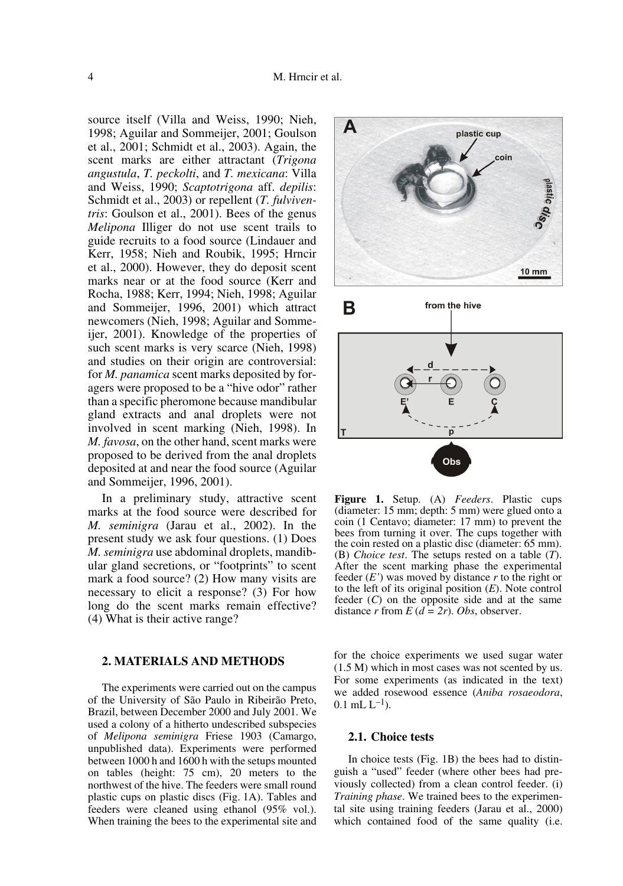source itself (Villa and Weiss, 1990; Nieh, 1998; Aguilar and Sommeijer, 2001; Goulson et al., 2001; Schmidt et al., 2003). Again, the scent marks are either attractant (*Trigona angustula*, *T. peckolti*, and *T. mexicana*: Villa and Weiss, 1990; *Scaptotrigona* aff. *depilis*: Schmidt et al., 2003) or repellent (*T. fulviventris*: Goulson et al., 2001). Bees of the genus *Melipona* Illiger do not use scent trails to guide recruits to a food source (Lindauer and Kerr, 1958; Nieh and Roubik, 1995; Hrncir et al., 2000). However, they do deposit scent marks near or at the food source (Kerr and Rocha, 1988; Kerr, 1994; Nieh, 1998; Aguilar and Sommeijer, 1996, 2001) which attract newcomers (Nieh, 1998; Aguilar and Sommeijer, 2001). Knowledge of the properties of such scent marks is very scarce (Nieh, 1998) and studies on their origin are controversial: for *M. panamica* scent marks deposited by foragers were proposed to be a "hive odor" rather than a specific pheromone because mandibular gland extracts and anal droplets were not involved in scent marking (Nieh, 1998). In *M. favosa*, on the other hand, scent marks were proposed to be derived from the anal droplets deposited at and near the food source (Aguilar and Sommeijer, 1996, 2001).

In a preliminary study, attractive scent marks at the food source were described for *M. seminigra* (Jarau et al., 2002). In the present study we ask four questions. (1) Does *M. seminigra* use abdominal droplets, mandibular gland secretions, or "footprints" to scent mark a food source? (2) How many visits are necessary to elicit a response? (3) For how long do the scent marks remain effective? (4) What is their active range?

#### **2. MATERIALS AND METHODS**

The experiments were carried out on the campus of the University of São Paulo in Ribeirão Preto, Brazil, between December 2000 and July 2001. We used a colony of a hitherto undescribed subspecies of *Melipona seminigra* Friese 1903 (Camargo, unpublished data). Experiments were performed between 1000 h and 1600 h with the setups mounted on tables (height: 75 cm), 20 meters to the northwest of the hive. The feeders were small round plastic cups on plastic discs (Fig. 1A). Tables and feeders were cleaned using ethanol (95% vol.). When training the bees to the experimental site and



**Figure 1.** Setup. (A) *Feeders*. Plastic cups (diameter: 15 mm; depth: 5 mm) were glued onto a coin (1 Centavo; diameter: 17 mm) to prevent the bees from turning it over. The cups together with the coin rested on a plastic disc (diameter: 65 mm). (B) *Choice test*. The setups rested on a table (*T*). After the scent marking phase the experimental feeder  $(E')$  was moved by distance  $r$  to the right or to the left of its original position (*E*). Note control feeder (*C*) on the opposite side and at the same distance *r* from  $E(d = 2r)$ . *Obs*, observer.

for the choice experiments we used sugar water (1.5 M) which in most cases was not scented by us. For some experiments (as indicated in the text) we added rosewood essence (*Aniba rosaeodora*,  $0.1$  mL  $L^{-1}$ ).

## **2.1. Choice tests**

In choice tests (Fig. 1B) the bees had to distinguish a "used" feeder (where other bees had previously collected) from a clean control feeder. (i) *Training phase*. We trained bees to the experimental site using training feeders (Jarau et al., 2000) which contained food of the same quality (i.e.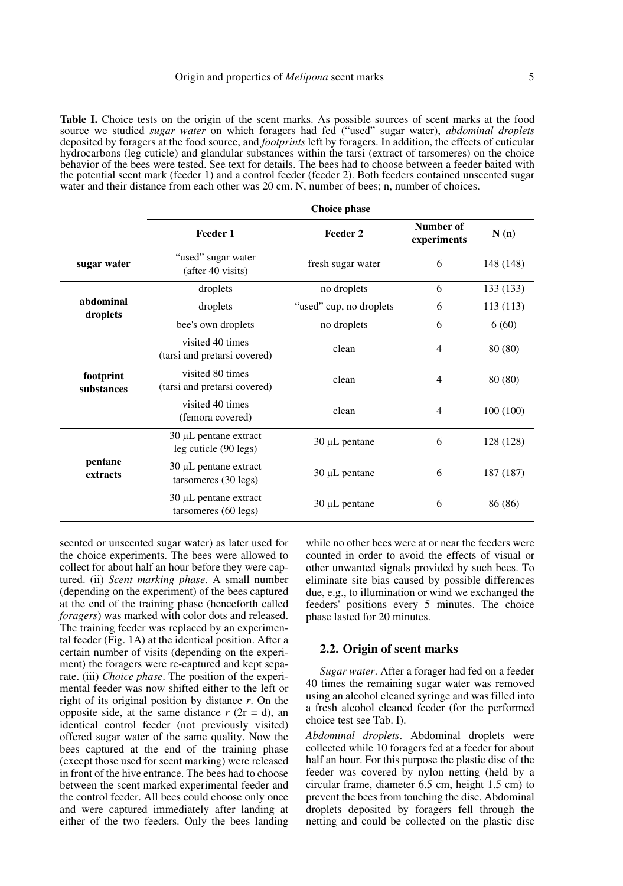**Table I.** Choice tests on the origin of the scent marks. As possible sources of scent marks at the food source we studied *sugar water* on which foragers had fed ("used" sugar water), *abdominal droplets* deposited by foragers at the food source, and *footprints* left by foragers. In addition, the effects of cuticular hydrocarbons (leg cuticle) and glandular substances within the tarsi (extract of tarsomeres) on the choice behavior of the bees were tested. See text for details. The bees had to choose between a feeder baited with the potential scent mark (feeder 1) and a control feeder (feeder 2). Both feeders contained unscented sugar water and their distance from each other was 20 cm. N, number of bees; n, number of choices.

|                         | <b>Choice phase</b>                                 |                         |                          |           |  |  |
|-------------------------|-----------------------------------------------------|-------------------------|--------------------------|-----------|--|--|
|                         | Feeder 1                                            | Feeder 2                | Number of<br>experiments | N(n)      |  |  |
| sugar water             | "used" sugar water<br>(after 40 visits)             | fresh sugar water       | 6                        | 148 (148) |  |  |
|                         | droplets                                            | no droplets             | 6                        | 133 (133) |  |  |
| abdominal<br>droplets   | droplets                                            | "used" cup, no droplets | 6                        | 113(113)  |  |  |
|                         | bee's own droplets                                  | no droplets             | 6                        | 6(60)     |  |  |
|                         | visited 40 times<br>(tarsi and pretarsi covered)    | clean                   | $\overline{4}$           | 80 (80)   |  |  |
| footprint<br>substances | visited 80 times<br>(tarsi and pretarsi covered)    | clean                   | 4                        | 80 (80)   |  |  |
|                         | visited 40 times<br>(femora covered)                | clean                   | 4                        | 100(100)  |  |  |
|                         | $30 \mu L$ pentane extract<br>leg cuticle (90 legs) | 30 µL pentane           | 6                        | 128 (128) |  |  |
| pentane<br>extracts     | $30 \mu L$ pentane extract<br>tarsomeres (30 legs)  | $30 \mu L$ pentane      | 6                        | 187 (187) |  |  |
|                         | $30 \mu L$ pentane extract<br>tarsomeres (60 legs)  | $30 \mu L$ pentane      | 6                        | 86 (86)   |  |  |

scented or unscented sugar water) as later used for the choice experiments. The bees were allowed to collect for about half an hour before they were captured. (ii) *Scent marking phase*. A small number (depending on the experiment) of the bees captured at the end of the training phase (henceforth called *foragers*) was marked with color dots and released. The training feeder was replaced by an experimental feeder (Fig. 1A) at the identical position. After a certain number of visits (depending on the experiment) the foragers were re-captured and kept separate. (iii) *Choice phase*. The position of the experimental feeder was now shifted either to the left or right of its original position by distance *r*. On the opposite side, at the same distance  $r$  ( $2r = d$ ), an identical control feeder (not previously visited) offered sugar water of the same quality. Now the bees captured at the end of the training phase (except those used for scent marking) were released in front of the hive entrance. The bees had to choose between the scent marked experimental feeder and the control feeder. All bees could choose only once and were captured immediately after landing at either of the two feeders. Only the bees landing while no other bees were at or near the feeders were counted in order to avoid the effects of visual or other unwanted signals provided by such bees. To eliminate site bias caused by possible differences due, e.g., to illumination or wind we exchanged the feeders' positions every 5 minutes. The choice phase lasted for 20 minutes.

#### **2.2. Origin of scent marks**

*Sugar water*. After a forager had fed on a feeder 40 times the remaining sugar water was removed using an alcohol cleaned syringe and was filled into a fresh alcohol cleaned feeder (for the performed choice test see Tab. I).

*Abdominal droplets*. Abdominal droplets were collected while 10 foragers fed at a feeder for about half an hour. For this purpose the plastic disc of the feeder was covered by nylon netting (held by a circular frame, diameter 6.5 cm, height 1.5 cm) to prevent the bees from touching the disc. Abdominal droplets deposited by foragers fell through the netting and could be collected on the plastic disc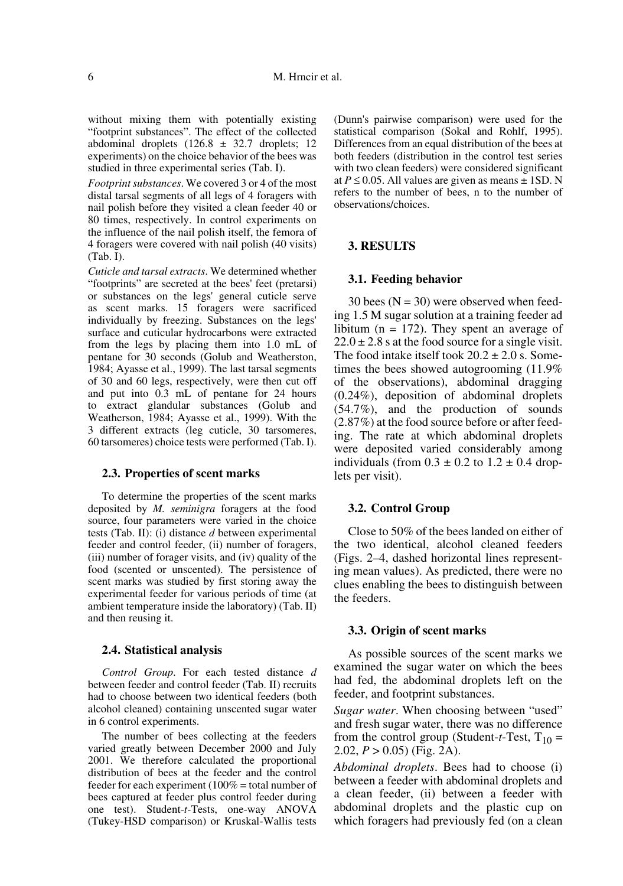without mixing them with potentially existing "footprint substances". The effect of the collected abdominal droplets  $(126.8 \pm 32.7)$  droplets; 12 experiments) on the choice behavior of the bees was studied in three experimental series (Tab. I).

*Footprint substances*. We covered 3 or 4 of the most distal tarsal segments of all legs of 4 foragers with nail polish before they visited a clean feeder 40 or 80 times, respectively. In control experiments on the influence of the nail polish itself, the femora of 4 foragers were covered with nail polish (40 visits) (Tab. I).

*Cuticle and tarsal extracts*. We determined whether "footprints" are secreted at the bees' feet (pretarsi) or substances on the legs' general cuticle serve as scent marks. 15 foragers were sacrificed individually by freezing. Substances on the legs' surface and cuticular hydrocarbons were extracted from the legs by placing them into 1.0 mL of pentane for 30 seconds (Golub and Weatherston, 1984; Ayasse et al., 1999). The last tarsal segments of 30 and 60 legs, respectively, were then cut off and put into 0.3 mL of pentane for 24 hours to extract glandular substances (Golub and Weatherson, 1984; Ayasse et al., 1999). With the 3 different extracts (leg cuticle, 30 tarsomeres, 60 tarsomeres) choice tests were performed (Tab. I).

## **2.3. Properties of scent marks**

To determine the properties of the scent marks deposited by *M. seminigra* foragers at the food source, four parameters were varied in the choice tests (Tab. II): (i) distance *d* between experimental feeder and control feeder, (ii) number of foragers, (iii) number of forager visits, and (iv) quality of the food (scented or unscented). The persistence of scent marks was studied by first storing away the experimental feeder for various periods of time (at ambient temperature inside the laboratory) (Tab. II) and then reusing it.

#### **2.4. Statistical analysis**

*Control Group*. For each tested distance *d* between feeder and control feeder (Tab. II) recruits had to choose between two identical feeders (both alcohol cleaned) containing unscented sugar water in 6 control experiments.

The number of bees collecting at the feeders varied greatly between December 2000 and July 2001. We therefore calculated the proportional distribution of bees at the feeder and the control feeder for each experiment ( $100\%$  = total number of bees captured at feeder plus control feeder during one test). Student-*t*-Tests, one-way ANOVA (Tukey-HSD comparison) or Kruskal-Wallis tests

(Dunn's pairwise comparison) were used for the statistical comparison (Sokal and Rohlf, 1995). Differences from an equal distribution of the bees at both feeders (distribution in the control test series with two clean feeders) were considered significant at  $P \le 0.05$ . All values are given as means  $\pm$  1SD. N refers to the number of bees, n to the number of observations/choices.

## **3. RESULTS**

#### **3.1. Feeding behavior**

30 bees  $(N = 30)$  were observed when feeding 1.5 M sugar solution at a training feeder ad libitum ( $n = 172$ ). They spent an average of  $22.0 \pm 2.8$  s at the food source for a single visit. The food intake itself took  $20.2 \pm 2.0$  s. Sometimes the bees showed autogrooming (11.9% of the observations), abdominal dragging (0.24%), deposition of abdominal droplets (54.7%), and the production of sounds (2.87%) at the food source before or after feeding. The rate at which abdominal droplets were deposited varied considerably among individuals (from  $0.3 \pm 0.2$  to  $1.2 \pm 0.4$  droplets per visit).

#### **3.2. Control Group**

Close to 50% of the bees landed on either of the two identical, alcohol cleaned feeders (Figs. 2–4, dashed horizontal lines representing mean values). As predicted, there were no clues enabling the bees to distinguish between the feeders.

#### **3.3. Origin of scent marks**

As possible sources of the scent marks we examined the sugar water on which the bees had fed, the abdominal droplets left on the feeder, and footprint substances.

*Sugar water*. When choosing between "used" and fresh sugar water, there was no difference from the control group (Student-*t*-Test,  $T_{10}$  = 2.02, *P* > 0.05) (Fig. 2A).

*Abdominal droplets*. Bees had to choose (i) between a feeder with abdominal droplets and a clean feeder, (ii) between a feeder with abdominal droplets and the plastic cup on which foragers had previously fed (on a clean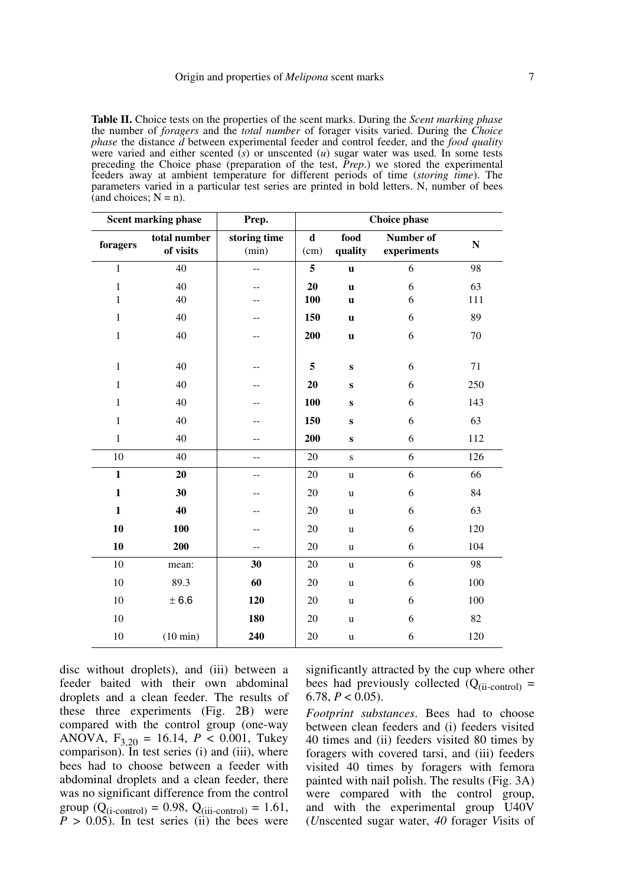**Table II.** Choice tests on the properties of the scent marks. During the *Scent marking phase* the number of *foragers* and the *total number* of forager visits varied. During the *Choice phase* the distance *d* between experimental feeder and control feeder, and the *food quality* were varied and either scented (*s*) or unscented (*u*) sugar water was used. In some tests preceding the Choice phase (preparation of the test, *Prep*.) we stored the experimental feeders away at ambient temperature for different periods of time (*storing time*). The parameters varied in a particular test series are printed in bold letters. N, number of bees  $\hat{a}$  and choices;  $N = n$ ).

| <b>Scent marking phase</b> |                           | Prep.                 | <b>Choice phase</b> |                 |                          |     |
|----------------------------|---------------------------|-----------------------|---------------------|-----------------|--------------------------|-----|
| foragers                   | total number<br>of visits | storing time<br>(min) | $\mathbf d$<br>(cm) | food<br>quality | Number of<br>experiments | N   |
| $\mathbf{1}$               | 40                        | $-$                   | 5                   | $\mathbf u$     | 6                        | 98  |
| $\mathbf{1}$               | 40                        | --                    | 20                  | $\mathbf{u}$    | 6                        | 63  |
| $\mathbf{1}$               | 40                        |                       | 100                 | $\mathbf u$     | 6                        | 111 |
| $\mathbf{1}$               | 40                        | --                    | 150                 | $\mathbf u$     | 6                        | 89  |
| $\mathbf{1}$               | 40                        | --                    | 200                 | $\mathbf u$     | 6                        | 70  |
|                            |                           |                       |                     |                 |                          |     |
| $\mathbf{1}$               | 40                        |                       | 5                   | ${\bf S}$       | 6                        | 71  |
| $\mathbf{1}$               | 40                        | --                    | 20                  | ${\bf S}$       | 6                        | 250 |
| $\mathbf{1}$               | 40                        | --                    | 100                 | ${\bf S}$       | 6                        | 143 |
| $\mathbf{1}$               | 40                        | --                    | 150                 | $\mathbf{s}$    | 6                        | 63  |
| $\mathbf{1}$               | 40                        | --                    | 200                 | $\mathbf{s}$    | 6                        | 112 |
| 10                         | 40                        | $-$                   | 20                  | $\mathbf S$     | 6                        | 126 |
| $\mathbf{1}$               | 20                        | $-$                   | 20                  | u               | 6                        | 66  |
| $\mathbf{1}$               | 30                        | --                    | 20                  | $\mathbf u$     | 6                        | 84  |
| $\mathbf{1}$               | 40                        | --                    | 20                  | u               | 6                        | 63  |
| 10                         | 100                       | --                    | 20                  | $\mathbf u$     | 6                        | 120 |
| 10                         | 200                       | --                    | 20                  | $\mathbf u$     | 6                        | 104 |
| 10                         | mean:                     | 30                    | 20                  | $\mathbf u$     | 6                        | 98  |
| 10                         | 89.3                      | 60                    | 20                  | $\mathbf u$     | 6                        | 100 |
| 10                         | ± 6.6                     | 120                   | 20                  | $\mathbf u$     | 6                        | 100 |
| 10                         |                           | 180                   | 20                  | $\mathbf u$     | 6                        | 82  |
| 10                         | $(10 \text{ min})$        | 240                   | 20                  | u               | 6                        | 120 |

disc without droplets), and (iii) between a feeder baited with their own abdominal droplets and a clean feeder. The results of these three experiments (Fig. 2B) were compared with the control group (one-way ANOVA,  $F_{3,20} = 16.14$ ,  $P < 0.001$ , Tukey comparison). In test series (i) and (iii), where bees had to choose between a feeder with abdominal droplets and a clean feeder, there was no significant difference from the control group  $(Q_{(i\text{-control})} = 0.98, Q_{(iii\text{-control})} = 1.61,$  $P > 0.05$ ). In test series (ii) the bees were

significantly attracted by the cup where other bees had previously collected  $(Q_{(ii-control)} =$ 6.78,  $P < 0.05$ ).

*Footprint substances*. Bees had to choose between clean feeders and (i) feeders visited 40 times and (ii) feeders visited 80 times by foragers with covered tarsi, and (iii) feeders visited 40 times by foragers with femora painted with nail polish. The results (Fig. 3A) were compared with the control group, and with the experimental group U40V (*U*nscented sugar water, *40* forager *V*isits of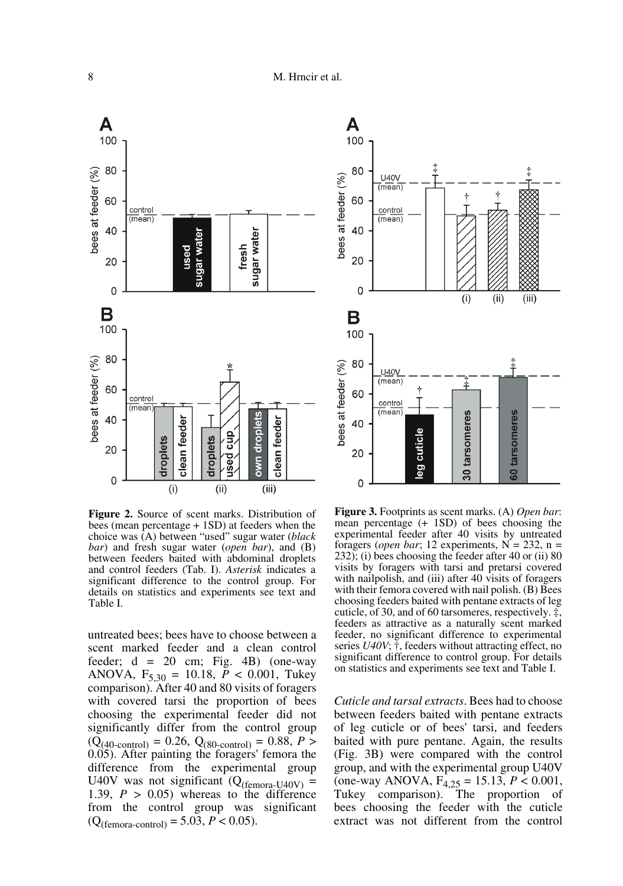

**Figure 2.** Source of scent marks. Distribution of bees (mean percentage + 1SD) at feeders when the choice was (A) between "used" sugar water (*black bar*) and fresh sugar water (*open bar*), and (B) between feeders baited with abdominal droplets and control feeders (Tab. I). *Asterisk* indicates a significant difference to the control group. For details on statistics and experiments see text and Table I.

untreated bees; bees have to choose between a scent marked feeder and a clean control feeder;  $d = 20$  cm; Fig. 4B) (one-way ANOVA,  $F_{5,30} = 10.18$ ,  $P < 0.001$ , Tukey comparison). After 40 and 80 visits of foragers with covered tarsi the proportion of bees choosing the experimental feeder did not significantly differ from the control group  $(Q_{(40\text{-control})} = 0.26, Q_{(80\text{-control})} = 0.88, P >$ 0.05). After painting the foragers' femora the difference from the experimental group U40V was not significant ( $Q_{(femora-U40V)}$  = 1.39,  $P > 0.05$ ) whereas to the difference from the control group was significant  $(Q_{(femora-control)} = 5.03, P < 0.05).$ 



**Figure 3.** Footprints as scent marks. (A) *Open bar*: mean percentage (+ 1SD) of bees choosing the experimental feeder after 40 visits by untreated foragers (*open bar*; 12 experiments,  $N = 232$ ,  $n =$ 232); (i) bees choosing the feeder after 40 or (ii) 80 visits by foragers with tarsi and pretarsi covered with nailpolish, and (iii) after 40 visits of foragers with their femora covered with nail polish. (B) Bees choosing feeders baited with pentane extracts of leg cuticle, of 30, and of 60 tarsomeres, respectively. ‡, feeders as attractive as a naturally scent marked feeder, no significant difference to experimental series *U40V*; †, feeders without attracting effect, no significant difference to control group. For details on statistics and experiments see text and Table I.

*Cuticle and tarsal extracts*. Bees had to choose between feeders baited with pentane extracts of leg cuticle or of bees' tarsi, and feeders baited with pure pentane. Again, the results (Fig. 3B) were compared with the control group, and with the experimental group U40V (one-way ANOVA, F4,25 = 15.13, *P* < 0.001, Tukey comparison). The proportion of bees choosing the feeder with the cuticle extract was not different from the control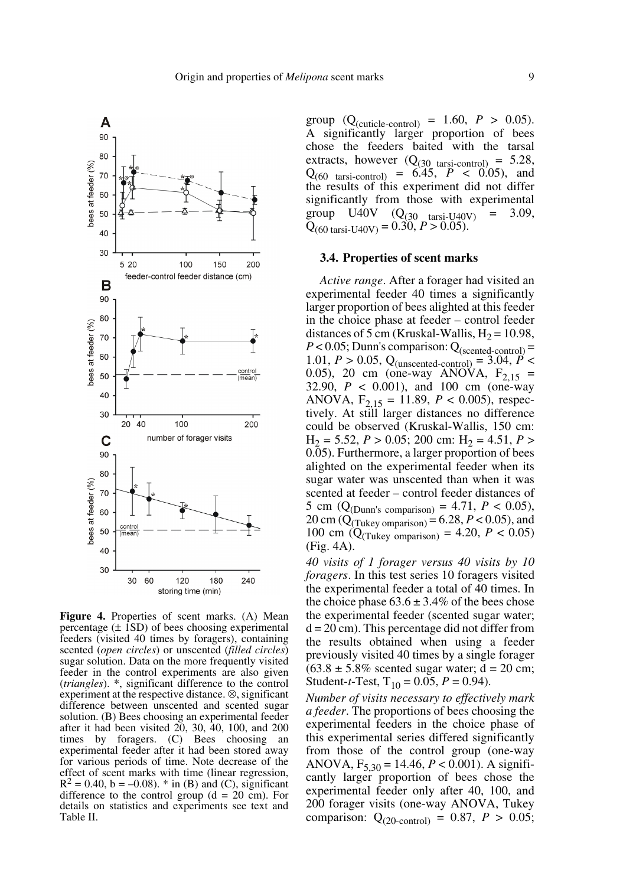

**Figure 4.** Properties of scent marks. (A) Mean percentage  $(\pm 1SD)$  of bees choosing experimental feeders (visited 40 times by foragers), containing scented (*open circles*) or unscented (*filled circles*) sugar solution. Data on the more frequently visited feeder in the control experiments are also given (*triangles*). \*, significant difference to the control experiment at the respective distance. ⊗, significant difference between unscented and scented sugar solution. (B) Bees choosing an experimental feeder after it had been visited 20, 30, 40, 100, and 200 times by foragers. (C) Bees choosing an experimental feeder after it had been stored away for various periods of time. Note decrease of the effect of scent marks with time (linear regression,  $R^2 = 0.40$ , b = –0.08). \* in (B) and (C), significant difference to the control group  $(d = 20 \text{ cm})$ . For details on statistics and experiments see text and Table II.

group  $(Q_{\text{(cuticle-control)}} = 1.60, P > 0.05)$ . A significantly larger proportion of bees chose the feeders baited with the tarsal extracts, however  $(Q_{(30 \text{ tarsi-control})} = 5.28$ ,  $Q_{(60 \text{tarsi-control})} = 6.45, P < 0.05$ , and  $Q_{(60 \text{ tarsi-control})} = 6.45$ ,  $P \le 0.05$ ), and the results of this experiment did not differ significantly from those with experimental group U40V  $(Q_{(30 \text{tarsi-U40V})} = 3.09,$  $Q_{(60 \text{ tarsi-U40V})} = 0.30, P > 0.05$ .

#### **3.4. Properties of scent marks**

*Active range*. After a forager had visited an experimental feeder 40 times a significantly larger proportion of bees alighted at this feeder in the choice phase at feeder – control feeder distances of 5 cm (Kruskal-Wallis,  $H_2 = 10.98$ ,  $P < 0.05$ ; Dunn's comparison:  $Q_{(scented-control)} =$ 1.01,  $P > 0.05$ , Q<sub>(unscented-control)</sub> = 3.04,  $P$  < 0.05), 20 cm (one-way ANOVA,  $F_{2,15}$  = 32.90, *P* < 0.001), and 100 cm (one-way ANOVA,  $F_{2,15} = 11.89$ ,  $P < 0.005$ ), respectively. At still larger distances no difference could be observed (Kruskal-Wallis, 150 cm:  $H_2 = 5.52, P > 0.05; 200$  cm:  $H_2 = 4.51, P >$ 0.05). Furthermore, a larger proportion of bees alighted on the experimental feeder when its sugar water was unscented than when it was scented at feeder – control feeder distances of 5 cm ( $Q_{(Dunn's\ comparison)} = 4.71, P < 0.05$ ), 20 cm ( $\dot{Q}_{\text{(Tukey ompansion)}}$  = 6.28,  $\dot{P}$  < 0.05), and 100 cm ( $Q_{(Tukey\text{ comparison})} = 4.20, P < 0.05$ ) (Fig. 4A).

*40 visits of 1 forager versus 40 visits by 10 foragers*. In this test series 10 foragers visited the experimental feeder a total of 40 times. In the choice phase  $63.6 \pm 3.4\%$  of the bees chose the experimental feeder (scented sugar water;  $d = 20$  cm). This percentage did not differ from the results obtained when using a feeder previously visited 40 times by a single forager  $(63.8 \pm 5.8\%$  scented sugar water; d = 20 cm; Student-*t*-Test,  $T_{10} = 0.05$ ,  $P = 0.94$ ).

*Number of visits necessary to effectively mark a feeder*. The proportions of bees choosing the experimental feeders in the choice phase of this experimental series differed significantly from those of the control group (one-way ANOVA, F5,30 = 14.46, *P* < 0.001). A significantly larger proportion of bees chose the experimental feeder only after 40, 100, and 200 forager visits (one-way ANOVA, Tukey comparison:  $Q_{(20\text{-control})} = 0.87, P > 0.05;$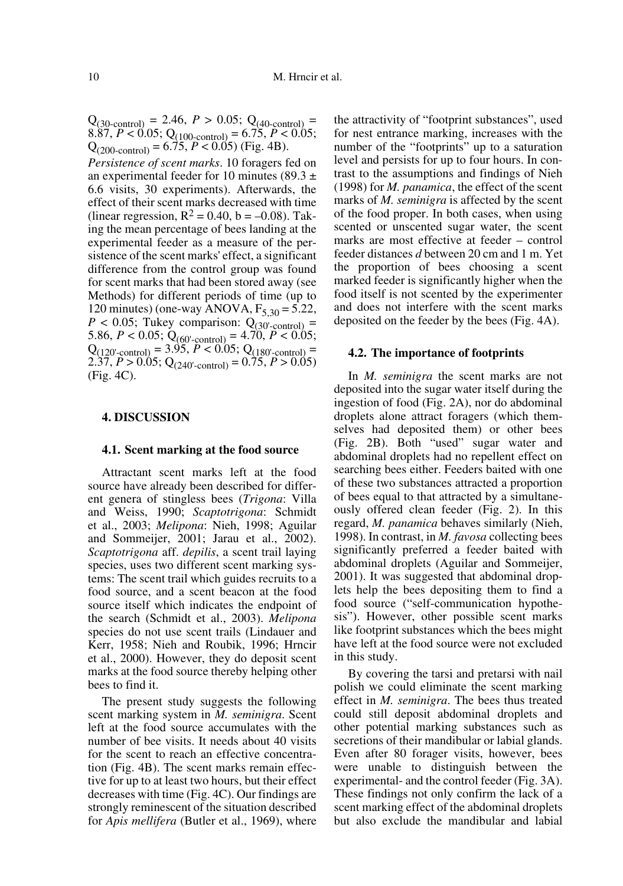$Q_{(30\text{-control})} = 2.46, P > 0.05; Q_{(40\text{-control})} =$ 8.87,  $P < 0.05$ ;  $Q_{(100\text{-control})} = 6.75$ ,  $P < 0.05$ ;  $Q_{(200\text{-control})} = 6.75, P < 0.05$  (Fig. 4B).

*Persistence of scent marks*. 10 foragers fed on an experimental feeder for 10 minutes (89.3  $\pm$ 6.6 visits, 30 experiments). Afterwards, the effect of their scent marks decreased with time (linear regression,  $R^2 = 0.40$ ,  $b = -0.08$ ). Taking the mean percentage of bees landing at the experimental feeder as a measure of the persistence of the scent marks' effect, a significant difference from the control group was found for scent marks that had been stored away (see Methods) for different periods of time (up to 120 minutes) (one-way ANOVA,  $F_{5,30} = 5.22$ ,  $P < 0.05$ ; Tukey comparison:  $Q_{(30'-control)} =$ 5.86,  $P < 0.05$ ;  $Q_{(60'-control)} = 4.70$ ,  $P < 0.05$ ;  $Q_{(120'-control)} = 3.95, P < 0.05; Q_{(180'-control)} =$ 2.37,  $P > 0.05$ ; Q<sub>(240'-control)</sub> =  $0.75$ ,  $P > 0.05$ ) (Fig. 4C).

## **4. DISCUSSION**

#### **4.1. Scent marking at the food source**

Attractant scent marks left at the food source have already been described for different genera of stingless bees (*Trigona*: Villa and Weiss, 1990; *Scaptotrigona*: Schmidt et al., 2003; *Melipona*: Nieh, 1998; Aguilar and Sommeijer, 2001; Jarau et al., 2002). *Scaptotrigona* aff. *depilis*, a scent trail laying species, uses two different scent marking systems: The scent trail which guides recruits to a food source, and a scent beacon at the food source itself which indicates the endpoint of the search (Schmidt et al., 2003). *Melipona* species do not use scent trails (Lindauer and Kerr, 1958; Nieh and Roubik, 1996; Hrncir et al., 2000). However, they do deposit scent marks at the food source thereby helping other bees to find it.

The present study suggests the following scent marking system in *M. seminigra*. Scent left at the food source accumulates with the number of bee visits. It needs about 40 visits for the scent to reach an effective concentration (Fig. 4B). The scent marks remain effective for up to at least two hours, but their effect decreases with time (Fig. 4C). Our findings are strongly reminescent of the situation described for *Apis mellifera* (Butler et al., 1969), where the attractivity of "footprint substances", used for nest entrance marking, increases with the number of the "footprints" up to a saturation level and persists for up to four hours. In contrast to the assumptions and findings of Nieh (1998) for *M. panamica*, the effect of the scent marks of *M. seminigra* is affected by the scent of the food proper. In both cases, when using scented or unscented sugar water, the scent marks are most effective at feeder – control feeder distances *d* between 20 cm and 1 m. Yet the proportion of bees choosing a scent marked feeder is significantly higher when the food itself is not scented by the experimenter and does not interfere with the scent marks deposited on the feeder by the bees (Fig. 4A).

# **4.2. The importance of footprints**

In *M. seminigra* the scent marks are not deposited into the sugar water itself during the ingestion of food (Fig. 2A), nor do abdominal droplets alone attract foragers (which themselves had deposited them) or other bees (Fig. 2B). Both "used" sugar water and abdominal droplets had no repellent effect on searching bees either. Feeders baited with one of these two substances attracted a proportion of bees equal to that attracted by a simultaneously offered clean feeder (Fig. 2). In this regard, *M. panamica* behaves similarly (Nieh, 1998). In contrast, in *M. favosa* collecting bees significantly preferred a feeder baited with abdominal droplets (Aguilar and Sommeijer, 2001). It was suggested that abdominal droplets help the bees depositing them to find a food source ("self-communication hypothesis"). However, other possible scent marks like footprint substances which the bees might have left at the food source were not excluded in this study.

By covering the tarsi and pretarsi with nail polish we could eliminate the scent marking effect in *M. seminigra*. The bees thus treated could still deposit abdominal droplets and other potential marking substances such as secretions of their mandibular or labial glands. Even after 80 forager visits, however, bees were unable to distinguish between the experimental- and the control feeder (Fig. 3A). These findings not only confirm the lack of a scent marking effect of the abdominal droplets but also exclude the mandibular and labial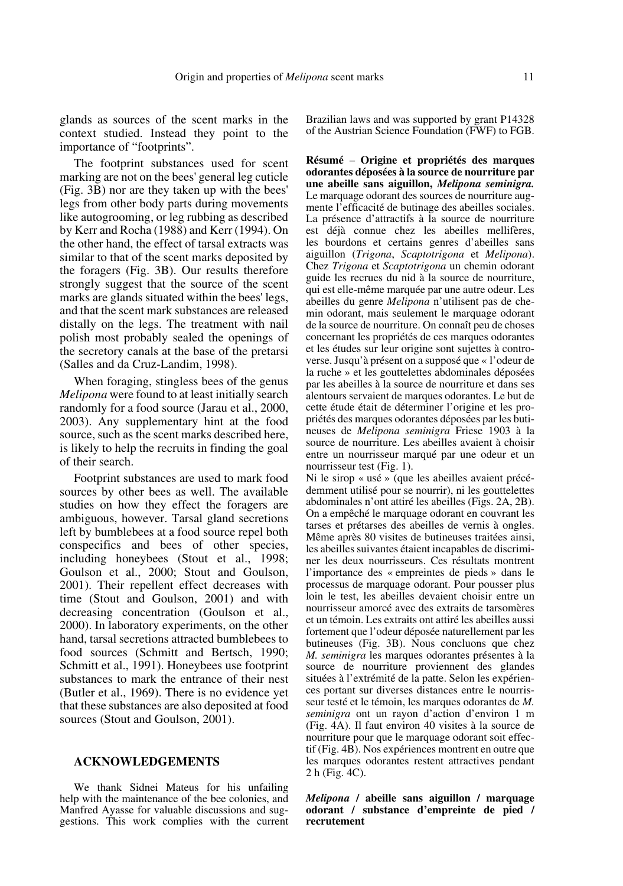glands as sources of the scent marks in the context studied. Instead they point to the importance of "footprints".

The footprint substances used for scent marking are not on the bees' general leg cuticle (Fig. 3B) nor are they taken up with the bees' legs from other body parts during movements like autogrooming, or leg rubbing as described by Kerr and Rocha (1988) and Kerr (1994). On the other hand, the effect of tarsal extracts was similar to that of the scent marks deposited by the foragers (Fig. 3B). Our results therefore strongly suggest that the source of the scent marks are glands situated within the bees' legs, and that the scent mark substances are released distally on the legs. The treatment with nail polish most probably sealed the openings of the secretory canals at the base of the pretarsi (Salles and da Cruz-Landim, 1998).

When foraging, stingless bees of the genus *Melipona* were found to at least initially search randomly for a food source (Jarau et al., 2000, 2003). Any supplementary hint at the food source, such as the scent marks described here, is likely to help the recruits in finding the goal of their search.

Footprint substances are used to mark food sources by other bees as well. The available studies on how they effect the foragers are ambiguous, however. Tarsal gland secretions left by bumblebees at a food source repel both conspecifics and bees of other species, including honeybees (Stout et al., 1998; Goulson et al., 2000; Stout and Goulson, 2001). Their repellent effect decreases with time (Stout and Goulson, 2001) and with decreasing concentration (Goulson et al., 2000). In laboratory experiments, on the other hand, tarsal secretions attracted bumblebees to food sources (Schmitt and Bertsch, 1990; Schmitt et al., 1991). Honeybees use footprint substances to mark the entrance of their nest (Butler et al., 1969). There is no evidence yet that these substances are also deposited at food sources (Stout and Goulson, 2001).

## **ACKNOWLEDGEMENTS**

We thank Sidnei Mateus for his unfailing help with the maintenance of the bee colonies, and Manfred Ayasse for valuable discussions and suggestions. This work complies with the current Brazilian laws and was supported by grant P14328 of the Austrian Science Foundation (FWF) to FGB.

**Résumé** – **Origine et propriétés des marques odorantes déposées à la source de nourriture par une abeille sans aiguillon,** *Melipona seminigra.* Le marquage odorant des sources de nourriture augmente l'efficacité de butinage des abeilles sociales. La présence d'attractifs à la source de nourriture est déjà connue chez les abeilles mellifères, les bourdons et certains genres d'abeilles sans aiguillon (*Trigona*, *Scaptotrigona* et *Melipona*). Chez *Trigona* et *Scaptotrigona* un chemin odorant guide les recrues du nid à la source de nourriture, qui est elle-même marquée par une autre odeur. Les abeilles du genre *Melipona* n'utilisent pas de chemin odorant, mais seulement le marquage odorant de la source de nourriture. On connaît peu de choses concernant les propriétés de ces marques odorantes et les études sur leur origine sont sujettes à controverse. Jusqu'à présent on a supposé que « l'odeur de la ruche » et les gouttelettes abdominales déposées par les abeilles à la source de nourriture et dans ses alentours servaient de marques odorantes. Le but de cette étude était de déterminer l'origine et les propriétés des marques odorantes déposées par les butineuses de *Melipona seminigra* Friese 1903 à la source de nourriture. Les abeilles avaient à choisir entre un nourrisseur marqué par une odeur et un nourrisseur test (Fig. 1).

Ni le sirop « usé » (que les abeilles avaient précédemment utilisé pour se nourrir), ni les gouttelettes abdominales n'ont attiré les abeilles (Figs. 2A, 2B). On a empêché le marquage odorant en couvrant les tarses et prétarses des abeilles de vernis à ongles. Même après 80 visites de butineuses traitées ainsi, les abeilles suivantes étaient incapables de discriminer les deux nourrisseurs. Ces résultats montrent l'importance des « empreintes de pieds » dans le processus de marquage odorant. Pour pousser plus loin le test, les abeilles devaient choisir entre un nourrisseur amorcé avec des extraits de tarsomères et un témoin. Les extraits ont attiré les abeilles aussi fortement que l'odeur déposée naturellement par les butineuses (Fig. 3B). Nous concluons que chez *M. seminigra* les marques odorantes présentes à la source de nourriture proviennent des glandes situées à l'extrémité de la patte. Selon les expériences portant sur diverses distances entre le nourrisseur testé et le témoin, les marques odorantes de *M. seminigra* ont un rayon d'action d'environ 1 m (Fig. 4A). Il faut environ 40 visites à la source de nourriture pour que le marquage odorant soit effectif (Fig. 4B). Nos expériences montrent en outre que les marques odorantes restent attractives pendant 2 h (Fig. 4C).

*Melipona* **/ abeille sans aiguillon / marquage odorant / substance d'empreinte de pied / recrutement**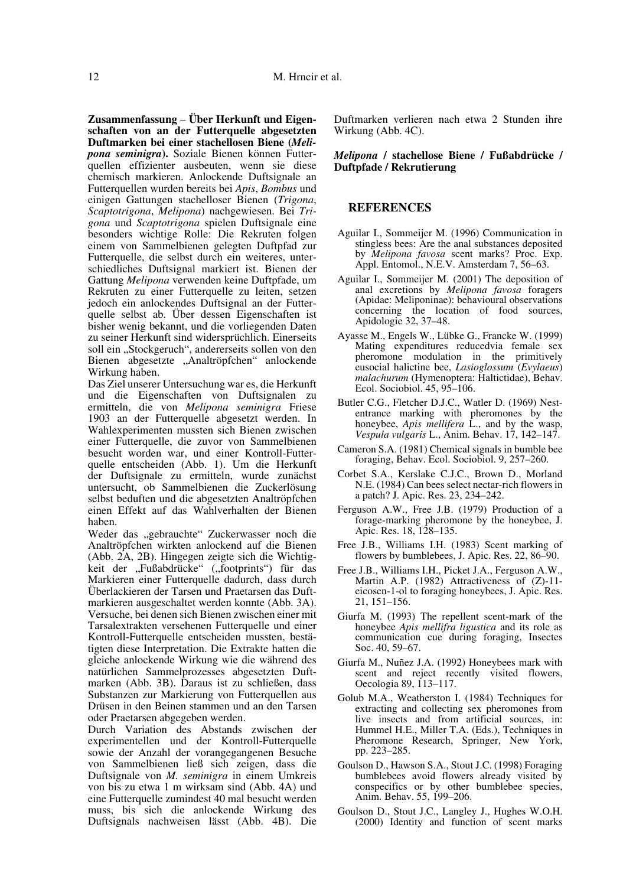**Zusammenfassung** – **Über Herkunft und Eigenschaften von an der Futterquelle abgesetzten Duftmarken bei einer stachellosen Biene (***Melipona seminigra***).** Soziale Bienen können Futterquellen effizienter ausbeuten, wenn sie diese chemisch markieren. Anlockende Duftsignale an Futterquellen wurden bereits bei *Apis*, *Bombus* und einigen Gattungen stachelloser Bienen (*Trigona*, *Scaptotrigona*, *Melipona*) nachgewiesen. Bei *Trigona* und *Scaptotrigona* spielen Duftsignale eine besonders wichtige Rolle: Die Rekruten folgen einem von Sammelbienen gelegten Duftpfad zur Futterquelle, die selbst durch ein weiteres, unterschiedliches Duftsignal markiert ist. Bienen der Gattung *Melipona* verwenden keine Duftpfade, um Rekruten zu einer Futterquelle zu leiten, setzen jedoch ein anlockendes Duftsignal an der Futterquelle selbst ab. Über dessen Eigenschaften ist bisher wenig bekannt, und die vorliegenden Daten zu seiner Herkunft sind widersprüchlich. Einerseits soll ein "Stockgeruch", andererseits sollen von den Bienen abgesetzte "Analtröpfchen" anlockende

Wirkung haben. Das Ziel unserer Untersuchung war es, die Herkunft und die Eigenschaften von Duftsignalen zu ermitteln, die von *Melipona seminigra* Friese 1903 an der Futterquelle abgesetzt werden. In Wahlexperimenten mussten sich Bienen zwischen einer Futterquelle, die zuvor von Sammelbienen besucht worden war, und einer Kontroll-Futterquelle entscheiden (Abb. 1). Um die Herkunft der Duftsignale zu ermitteln, wurde zunächst untersucht, ob Sammelbienen die Zuckerlösung selbst beduften und die abgesetzten Analtröpfchen einen Effekt auf das Wahlverhalten der Bienen haben.

Weder das "gebrauchte" Zuckerwasser noch die Analtröpfchen wirkten anlockend auf die Bienen (Abb. 2A, 2B). Hingegen zeigte sich die Wichtigkeit der "Fußabdrücke" ("footprints") für das Markieren einer Futterquelle dadurch, dass durch Überlackieren der Tarsen und Praetarsen das Duftmarkieren ausgeschaltet werden konnte (Abb. 3A). Versuche, bei denen sich Bienen zwischen einer mit Tarsalextrakten versehenen Futterquelle und einer Kontroll-Futterquelle entscheiden mussten, bestätigten diese Interpretation. Die Extrakte hatten die gleiche anlockende Wirkung wie die während des natürlichen Sammelprozesses abgesetzten Duftmarken (Abb. 3B). Daraus ist zu schließen, dass Substanzen zur Markierung von Futterquellen aus Drüsen in den Beinen stammen und an den Tarsen oder Praetarsen abgegeben werden.

Durch Variation des Abstands zwischen der experimentellen und der Kontroll-Futterquelle sowie der Anzahl der vorangegangenen Besuche von Sammelbienen ließ sich zeigen, dass die Duftsignale von *M. seminigra* in einem Umkreis von bis zu etwa 1 m wirksam sind (Abb. 4A) und eine Futterquelle zumindest 40 mal besucht werden muss, bis sich die anlockende Wirkung des Duftsignals nachweisen lässt (Abb. 4B). Die Duftmarken verlieren nach etwa 2 Stunden ihre Wirkung (Abb. 4C).

#### *Melipona* **/ stachellose Biene / Fußabdrücke / Duftpfade / Rekrutierung**

#### **REFERENCES**

- Aguilar I., Sommeijer M. (1996) Communication in stingless bees: Are the anal substances deposited by *Melipona favosa* scent marks? Proc. Exp. Appl. Entomol., N.E.V. Amsterdam 7, 56–63.
- Aguilar I., Sommeijer M. (2001) The deposition of anal excretions by *Melipona favosa* foragers (Apidae: Meliponinae): behavioural observations concerning the location of food sources, Apidologie 32, 37–48.
- Ayasse M., Engels W., Lübke G., Francke W. (1999) Mating expenditures reducedvia female sex pheromone modulation in the primitively eusocial halictine bee, *Lasioglossum* (*Evylaeus*) *malachurum* (Hymenoptera: Haltictidae), Behav. Ecol. Sociobiol. 45, 95–106.
- Butler C.G., Fletcher D.J.C., Watler D. (1969) Nestentrance marking with pheromones by the honeybee, *Apis mellifera* L., and by the wasp, *Vespula vulgaris* L., Anim. Behav. 17, 142–147.
- Cameron S.A. (1981) Chemical signals in bumble bee foraging, Behav. Ecol. Sociobiol. 9, 257–260.
- Corbet S.A., Kerslake C.J.C., Brown D., Morland N.E. (1984) Can bees select nectar-rich flowers in a patch? J. Apic. Res. 23, 234–242.
- Ferguson A.W., Free J.B. (1979) Production of a forage-marking pheromone by the honeybee, J. Apic. Res. 18, 128–135.
- Free J.B., Williams I.H. (1983) Scent marking of flowers by bumblebees, J. Apic. Res. 22, 86–90.
- Free J.B., Williams I.H., Picket J.A., Ferguson A.W., Martin A.P. (1982) Attractiveness of (Z)-11 eicosen-1-ol to foraging honeybees, J. Apic. Res. 21, 151–156.
- Giurfa M. (1993) The repellent scent-mark of the honeybee *Apis mellifra ligustica* and its role as communication cue during foraging, Insectes Soc. 40, 59–67.
- Giurfa M., Nuñez J.A. (1992) Honeybees mark with scent and reject recently visited flowers, Oecologia 89, 113–117.
- Golub M.A., Weatherston I. (1984) Techniques for extracting and collecting sex pheromones from live insects and from artificial sources, in: Hummel H.E., Miller T.A. (Eds.), Techniques in Pheromone Research, Springer, New York, pp. 223–285.
- Goulson D., Hawson S.A., Stout J.C. (1998) Foraging bumblebees avoid flowers already visited by conspecifics or by other bumblebee species, Anim. Behav. 55, 199–206.
- Goulson D., Stout J.C., Langley J., Hughes W.O.H. (2000) Identity and function of scent marks